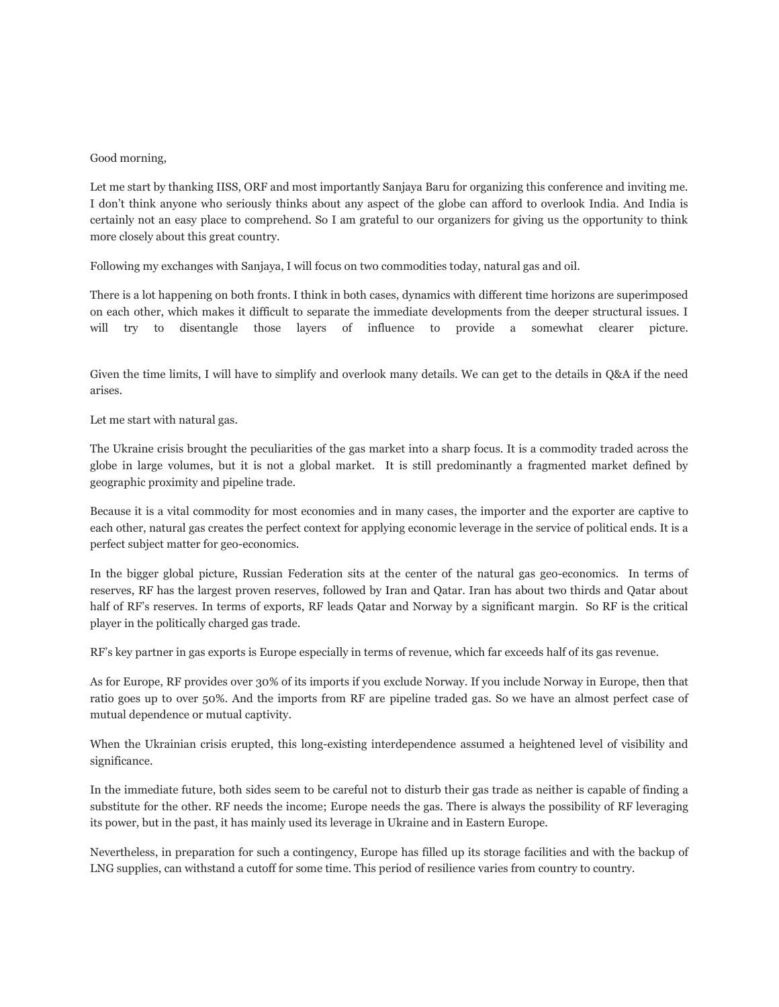## Good morning,

Let me start by thanking IISS, ORF and most importantly Sanjaya Baru for organizing this conference and inviting me. I don't think anyone who seriously thinks about any aspect of the globe can afford to overlook India. And India is certainly not an easy place to comprehend. So I am grateful to our organizers for giving us the opportunity to think more closely about this great country.

Following my exchanges with Sanjaya, I will focus on two commodities today, natural gas and oil.

There is a lot happening on both fronts. I think in both cases, dynamics with different time horizons are superimposed on each other, which makes it difficult to separate the immediate developments from the deeper structural issues. I will try to disentangle those layers of influence to provide a somewhat clearer picture.

Given the time limits, I will have to simplify and overlook many details. We can get to the details in Q&A if the need arises.

Let me start with natural gas.

The Ukraine crisis brought the peculiarities of the gas market into a sharp focus. It is a commodity traded across the globe in large volumes, but it is not a global market. It is still predominantly a fragmented market defined by geographic proximity and pipeline trade.

Because it is a vital commodity for most economies and in many cases, the importer and the exporter are captive to each other, natural gas creates the perfect context for applying economic leverage in the service of political ends. It is a perfect subject matter for geo-economics.

In the bigger global picture, Russian Federation sits at the center of the natural gas geo-economics. In terms of reserves, RF has the largest proven reserves, followed by Iran and Qatar. Iran has about two thirds and Qatar about half of RF's reserves. In terms of exports, RF leads Qatar and Norway by a significant margin. So RF is the critical player in the politically charged gas trade.

RF's key partner in gas exports is Europe especially in terms of revenue, which far exceeds half of its gas revenue.

As for Europe, RF provides over 30% of its imports if you exclude Norway. If you include Norway in Europe, then that ratio goes up to over 50%. And the imports from RF are pipeline traded gas. So we have an almost perfect case of mutual dependence or mutual captivity.

When the Ukrainian crisis erupted, this long-existing interdependence assumed a heightened level of visibility and significance.

In the immediate future, both sides seem to be careful not to disturb their gas trade as neither is capable of finding a substitute for the other. RF needs the income; Europe needs the gas. There is always the possibility of RF leveraging its power, but in the past, it has mainly used its leverage in Ukraine and in Eastern Europe.

Nevertheless, in preparation for such a contingency, Europe has filled up its storage facilities and with the backup of LNG supplies, can withstand a cutoff for some time. This period of resilience varies from country to country.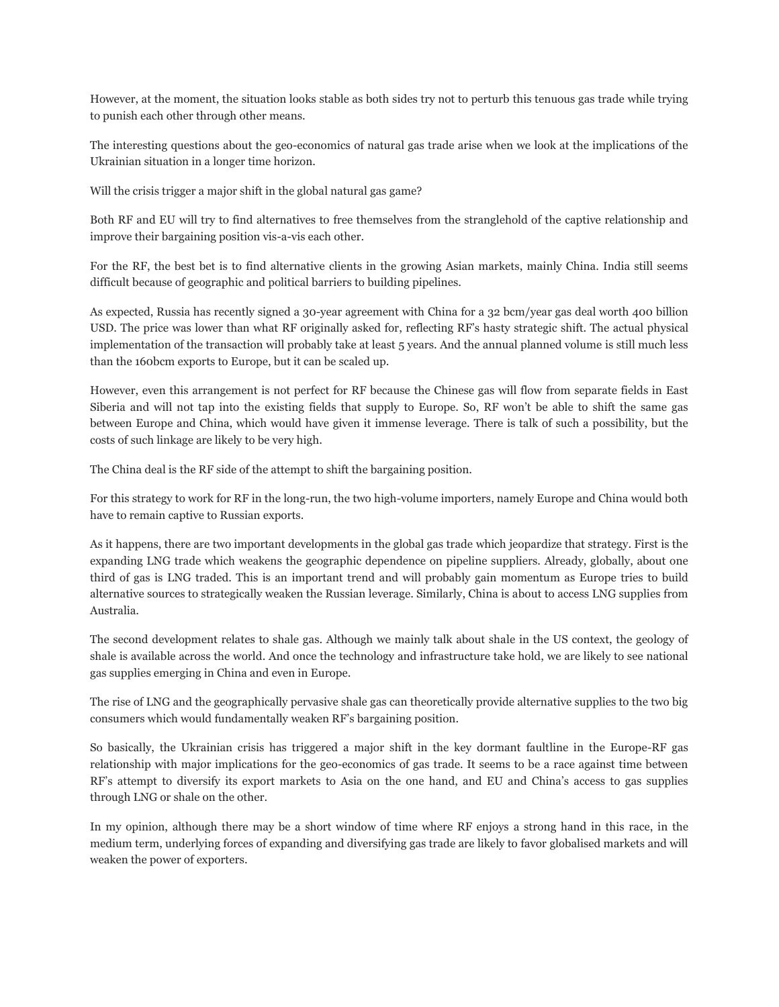However, at the moment, the situation looks stable as both sides try not to perturb this tenuous gas trade while trying to punish each other through other means.

The interesting questions about the geo-economics of natural gas trade arise when we look at the implications of the Ukrainian situation in a longer time horizon.

Will the crisis trigger a major shift in the global natural gas game?

Both RF and EU will try to find alternatives to free themselves from the stranglehold of the captive relationship and improve their bargaining position vis-a-vis each other.

For the RF, the best bet is to find alternative clients in the growing Asian markets, mainly China. India still seems difficult because of geographic and political barriers to building pipelines.

As expected, Russia has recently signed a 30-year agreement with China for a 32 bcm/year gas deal worth 400 billion USD. The price was lower than what RF originally asked for, reflecting RF's hasty strategic shift. The actual physical implementation of the transaction will probably take at least 5 years. And the annual planned volume is still much less than the 160bcm exports to Europe, but it can be scaled up.

However, even this arrangement is not perfect for RF because the Chinese gas will flow from separate fields in East Siberia and will not tap into the existing fields that supply to Europe. So, RF won't be able to shift the same gas between Europe and China, which would have given it immense leverage. There is talk of such a possibility, but the costs of such linkage are likely to be very high.

The China deal is the RF side of the attempt to shift the bargaining position.

For this strategy to work for RF in the long-run, the two high-volume importers, namely Europe and China would both have to remain captive to Russian exports.

As it happens, there are two important developments in the global gas trade which jeopardize that strategy. First is the expanding LNG trade which weakens the geographic dependence on pipeline suppliers. Already, globally, about one third of gas is LNG traded. This is an important trend and will probably gain momentum as Europe tries to build alternative sources to strategically weaken the Russian leverage. Similarly, China is about to access LNG supplies from Australia.

The second development relates to shale gas. Although we mainly talk about shale in the US context, the geology of shale is available across the world. And once the technology and infrastructure take hold, we are likely to see national gas supplies emerging in China and even in Europe.

The rise of LNG and the geographically pervasive shale gas can theoretically provide alternative supplies to the two big consumers which would fundamentally weaken RF's bargaining position.

So basically, the Ukrainian crisis has triggered a major shift in the key dormant faultline in the Europe-RF gas relationship with major implications for the geo-economics of gas trade. It seems to be a race against time between RF's attempt to diversify its export markets to Asia on the one hand, and EU and China's access to gas supplies through LNG or shale on the other.

In my opinion, although there may be a short window of time where RF enjoys a strong hand in this race, in the medium term, underlying forces of expanding and diversifying gas trade are likely to favor globalised markets and will weaken the power of exporters.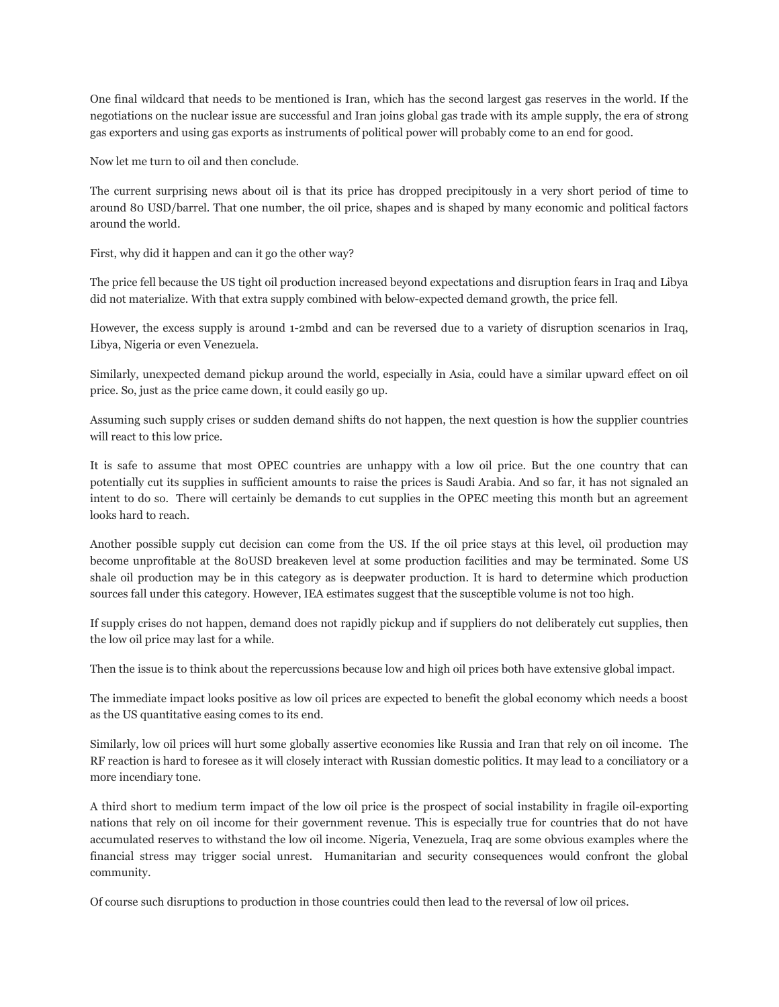One final wildcard that needs to be mentioned is Iran, which has the second largest gas reserves in the world. If the negotiations on the nuclear issue are successful and Iran joins global gas trade with its ample supply, the era of strong gas exporters and using gas exports as instruments of political power will probably come to an end for good.

Now let me turn to oil and then conclude.

The current surprising news about oil is that its price has dropped precipitously in a very short period of time to around 80 USD/barrel. That one number, the oil price, shapes and is shaped by many economic and political factors around the world.

First, why did it happen and can it go the other way?

The price fell because the US tight oil production increased beyond expectations and disruption fears in Iraq and Libya did not materialize. With that extra supply combined with below-expected demand growth, the price fell.

However, the excess supply is around 1-2mbd and can be reversed due to a variety of disruption scenarios in Iraq, Libya, Nigeria or even Venezuela.

Similarly, unexpected demand pickup around the world, especially in Asia, could have a similar upward effect on oil price. So, just as the price came down, it could easily go up.

Assuming such supply crises or sudden demand shifts do not happen, the next question is how the supplier countries will react to this low price.

It is safe to assume that most OPEC countries are unhappy with a low oil price. But the one country that can potentially cut its supplies in sufficient amounts to raise the prices is Saudi Arabia. And so far, it has not signaled an intent to do so. There will certainly be demands to cut supplies in the OPEC meeting this month but an agreement looks hard to reach.

Another possible supply cut decision can come from the US. If the oil price stays at this level, oil production may become unprofitable at the 80USD breakeven level at some production facilities and may be terminated. Some US shale oil production may be in this category as is deepwater production. It is hard to determine which production sources fall under this category. However, IEA estimates suggest that the susceptible volume is not too high.

If supply crises do not happen, demand does not rapidly pickup and if suppliers do not deliberately cut supplies, then the low oil price may last for a while.

Then the issue is to think about the repercussions because low and high oil prices both have extensive global impact.

The immediate impact looks positive as low oil prices are expected to benefit the global economy which needs a boost as the US quantitative easing comes to its end.

Similarly, low oil prices will hurt some globally assertive economies like Russia and Iran that rely on oil income. The RF reaction is hard to foresee as it will closely interact with Russian domestic politics. It may lead to a conciliatory or a more incendiary tone.

A third short to medium term impact of the low oil price is the prospect of social instability in fragile oil-exporting nations that rely on oil income for their government revenue. This is especially true for countries that do not have accumulated reserves to withstand the low oil income. Nigeria, Venezuela, Iraq are some obvious examples where the financial stress may trigger social unrest. Humanitarian and security consequences would confront the global community.

Of course such disruptions to production in those countries could then lead to the reversal of low oil prices.